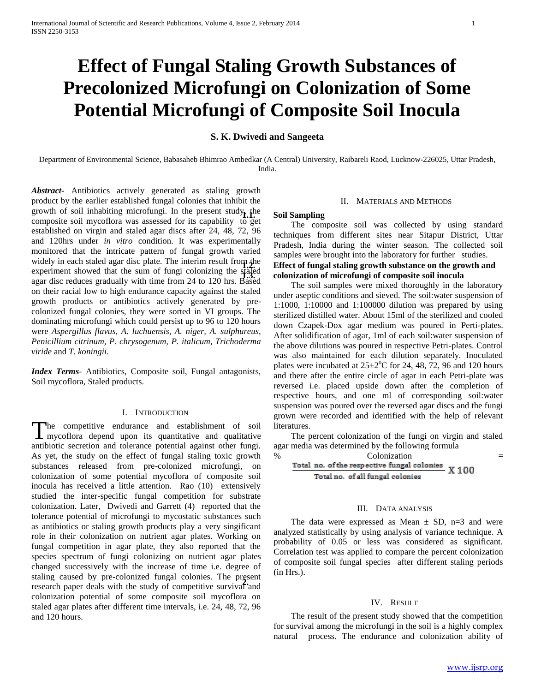# **Effect of Fungal Staling Growth Substances of Precolonized Microfungi on Colonization of Some Potential Microfungi of Composite Soil Inocula**

## **S. K. Dwivedi and Sangeeta**

Department of Environmental Science, Babasaheb Bhimrao Ambedkar (A Central) University, Raibareli Raod, Lucknow-226025, Uttar Pradesh, India.

*Abstract***-** Antibiotics actively generated as staling growth product by the earlier established fungal colonies that inhibit the growth of soil inhabiting microfungi. In the present study, the composite soil mycoflora was assessed for its capability to get established on virgin and staled agar discs after 24, 48, 72, 96 and 120hrs under *in vitro* condition. It was experimentally monitored that the intricate pattern of fungal growth varied widely in each staled agar disc plate. The interim result from the experiment showed that the sum of fungi colonizing the staled agar disc reduces gradually with time from 24 to 120 hrs. Based on their racial low to high endurance capacity against the staled growth products or antibiotics actively generated by precolonized fungal colonies, they were sorted in VI groups. The dominating microfungi which could persist up to 96 to 120 hours were *Aspergillus flavus, A. luchuensis, A. niger, A. sulphureus, Penicillium citrinum, P. chrysogenum, P. italicum, Trichoderma viride* and *T. koningii*.

*Index Terms*- Antibiotics, Composite soil, Fungal antagonists, Soil mycoflora, Staled products.

#### I. INTRODUCTION

he competitive endurance and establishment of soil The competitive endurance and establishment of soil mycoflora depend upon its quantitative and qualitative antibiotic secretion and tolerance potential against other fungi. As yet, the study on the effect of fungal staling toxic growth substances released from pre-colonized microfungi, on colonization of some potential mycoflora of composite soil inocula has received a little attention. Rao (10) extensively studied the inter-specific fungal competition for substrate colonization. Later, Dwivedi and Garrett (4) reported that the tolerance potential of microfungi to mycostatic substances such as antibiotics or staling growth products play a very singificant role in their colonization on nutrient agar plates. Working on fungal competition in agar plate, they also reported that the species spectrum of fungi colonizing on nutrient agar plates changed successively with the increase of time i.e. degree of staling caused by pre-colonized fungal colonies. The present research paper deals with the study of competitive survival and colonization potential of some composite soil mycoflora on staled agar plates after different time intervals, i.e. 24, 48, 72, 96 and 120 hours.

## II. MATERIALS AND METHODS

#### **1.1. Soil Sampling**

 The composite soil was collected by using standard techniques from different sites near Sitapur District, Uttar Pradesh, India during the winter season. The collected soil samples were brought into the laboratory for further studies.

## **1.2. Effect of fungal staling growth substance on the growth and 1.3. colonization of microfungi of composite soil inocula**

 The soil samples were mixed thoroughly in the laboratory under aseptic conditions and sieved. The soil:water suspension of 1:1000, 1:10000 and 1:100000 dilution was prepared by using sterilized distilled water. About 15ml of the sterilized and cooled down Czapek-Dox agar medium was poured in Perti-plates. After solidification of agar, 1ml of each soil:water suspension of the above dilutions was poured in respective Petri-plates. Control was also maintained for each dilution separately. Inoculated plates were incubated at  $25\pm2\degree$ C for 24, 48, 72, 96 and 120 hours and there after the entire circle of agar in each Petri-plate was reversed i.e. placed upside down after the completion of respective hours, and one ml of corresponding soil:water suspension was poured over the reversed agar discs and the fungi grown were recorded and identified with the help of relevant literatures.

 The percent colonization of the fungi on virgin and staled agar media was determined by the following formula

% Colonization  $=$  Total no. of the respective fungal colonies  $X$  100 Total no. of all fungal colonies

### III. DATA ANALYSIS

The data were expressed as Mean  $\pm$  SD, n=3 and were analyzed statistically by using analysis of variance technique. A probability of 0.05 or less was considered as significant. Correlation test was applied to compare the percent colonization of composite soil fungal species after different staling periods (in Hrs.).

#### IV. RESULT

 The result of the present study showed that the competition for survival among the microfungi in the soil is a highly complex natural process. The endurance and colonization ability of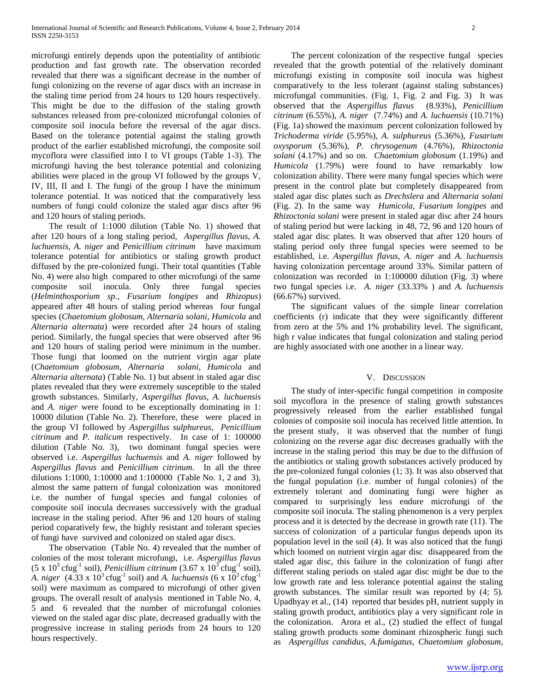microfungi entirely depends upon the potentiality of antibiotic production and fast growth rate. The observation recorded revealed that there was a significant decrease in the number of fungi colonizing on the reverse of agar discs with an increase in the staling time period from 24 hours to 120 hours respectively. This might be due to the diffusion of the staling growth substances released from pre-colonized microfungal colonies of composite soil inocula before the reversal of the agar discs. Based on the tolerance potential against the staling growth product of the earlier established microfungi, the composite soil mycoflora were classified into I to VI groups (Table 1-3). The microfungi having the best tolerance potential and colonizing abilities were placed in the group VI followed by the groups V, IV, III, II and I. The fungi of the group I have the minimum tolerance potential. It was noticed that the comparatively less numbers of fungi could colonize the staled agar discs after 96 and 120 hours of staling periods.

 The result of 1:1000 dilution (Table No. 1) showed that after 120 hours of a long staling period, *Aspergillus flavus, A. luchuensis, A. niger* and *Penicillium citrinum* have maximum tolerance potential for antibiotics or staling growth product diffused by the pre-colonized fungi. Their total quantities (Table No. 4) were also high compared to other microfungi of the same composite soil inocula. Only three fungal species (*Helminthosporium sp., Fusarium longipes* and *Rhizopus*) appeared after 48 hours of staling period whereas four fungal species (*Chaetomium globosum, Alternaria solani, Humicola* and *Alternaria alternata*) were recorded after 24 hours of staling period. Similarly, the fungal species that were observed after 96 and 120 hours of staling period were minimum in the number. Those fungi that loomed on the nutrient virgin agar plate (*Chaetomium globosum, Alternaria solani, Humicola* and *Alternaria alternata*) (Table No. 1) but absent in staled agar disc plates revealed that they were extremely susceptible to the staled growth substances. Similarly, *Aspergillus flavus, A. luchuensis*  and *A. niger* were found to be exceptionally dominating in 1: 10000 dilution (Table No. 2). Therefore, these were placed in the group VI followed by *Aspergillus sulphureus, Penicillium citrinum* and *P. italicum* respectively. In case of 1: 100000 dilution (Table No. 3), two dominant fungal species were observed i.e. *Aspergillus luchuensis* and *A. niger* followed by *Aspergillus flavus* and *Penicillium citrinum*. In all the three dilutions 1:1000, 1:10000 and 1:100000 (Table No. 1, 2 and 3), almost the same pattern of fungal colonization was monitored i.e. the number of fungal species and fungal colonies of composite soil inocula decreases successively with the gradual increase in the staling period. After 96 and 120 hours of staling period coparatively few, the highly resistant and tolerant species of fungi have survived and colonized on staled agar discs.

 The observation (Table No. 4) revealed that the number of colonies of the most tolerant microfungi, i.e. *Aspergillus flavus*  $(5 \times 10^3 \text{ c}$ fug<sup>-1</sup> soil), *Penicillium citrinum*  $(3.67 \times 10^3 \text{ c}$ fug<sup>-1</sup> soil), *A. niger*  $(4.33 \times 10^3 \text{ c} \text{fug}^{-1} \text{ soil})$  and *A. luchuensis*  $(6 \times 10^3 \text{ c} \text{fug}^{-1})$ soil) were maximum as compared to microfungi of other given groups. The overall result of analysis mentioned in Table No. 4, 5 and 6 revealed that the number of microfungal colonies viewed on the staled agar disc plate, decreased gradually with the progressive increase in staling periods from 24 hours to 120 hours respectively.

 The percent colonization of the respective fungal species revealed that the growth potential of the relatively dominant microfungi existing in composite soil inocula was highest comparatively to the less tolerant (against staling substances) microfungal communities. (Fig. 1, Fig. 2 and Fig. 3) It was observed that the *Aspergillus flavus* (8.93%), *Penicillium citrinum* (6.55%), *A. niger* (7.74%) and *A. luchuensis* (10.71%) (Fig. 1a) showed the maximum percent colonization followed by *Trichoderma viride* (5.95%), *A. sulphureus* (5.36%), *Fusarium oxysporum* (5.36%), *P. chrysogenum* (4.76%), *Rhizoctonia solani* (4.17%) and so on. *Chaetomium globosum* (1.19%) and *Humicola* (1.79%) were found to have remarkably low colonization ability. There were many fungal species which were present in the control plate but completely disappeared from staled agar disc plates such as *Drechslera* and *Alternaria solani* (Fig. 2). In the same way *Humicola, Fusarium longipes* and *Rhizoctonia solani* were present in staled agar disc after 24 hours of staling period but were lacking in 48, 72, 96 and 120 hours of staled agar disc plates. It was observed that after 120 hours of staling period only three fungal species were seemed to be established, i.e. *Aspergillus flavus, A. niger* and *A. luchuensis* having colonization percentage around 33%. Similar pattern of colonization was recorded in 1:100000 dilution (Fig. 3) where two fungal species i.e. *A. niger* (33.33% ) and *A. luchuensis* (66.67%) survived.

 The significant values of the simple linear correlation coefficients (r) indicate that they were significantly different from zero at the 5% and 1% probability level. The significant, high r value indicates that fungal colonization and staling period are highly associated with one another in a linear way.

#### V. DISCUSSION

 The study of inter-specific fungal competition in composite soil mycoflora in the presence of staling growth substances progressively released from the earlier established fungal colonies of composite soil inocula has received little attention. In the present study, it was observed that the number of fungi colonizing on the reverse agar disc decreases gradually with the increase in the staling period this may be due to the diffusion of the antibiotics or staling growth substances actively produced by the pre-colonized fungal colonies (1; 3). It was also observed that the fungal population (i.e. number of fungal colonies) of the extremely tolerant and dominating fungi were higher as compared to surprisingly less endure microfungi of the composite soil inocula. The staling phenomenon is a very perplex process and it is detected by the decrease in growth rate (11). The success of colonization of a particular fungus depends upon its population level in the soil (4). It was also noticed that the fungi which loomed on nutrient virgin agar disc disappeared from the staled agar disc, this failure in the colonization of fungi after different staling periods on staled agar disc might be due to the low growth rate and less tolerance potential against the staling growth substances. The similar result was reported by (4; 5). Upadhyay et al., (14) reported that besides pH, nutrient supply in staling growth product, antibiotics play a very significant role in the colonization. Arora et al., (2) studied the effect of fungal staling growth products some dominant rhizospheric fungi such as *Aspergillus candidus, A.fumigatus, Chaetomium globosum,* 

www.ijsrp.org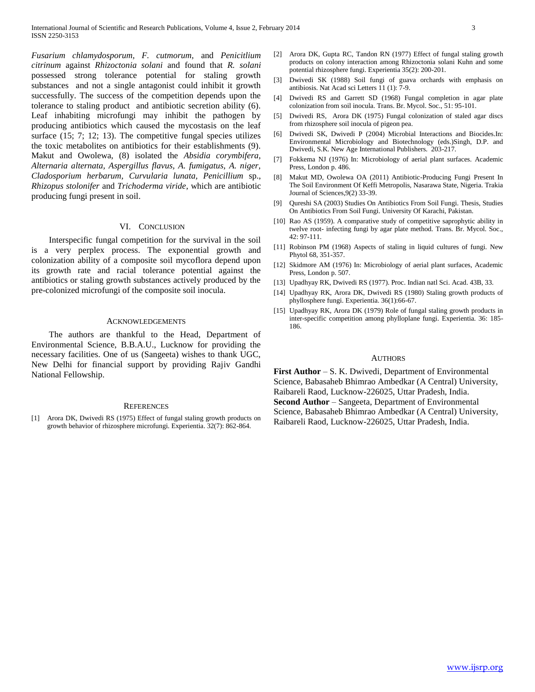*Fusarium chlamydosporum, F. cutmorum,* and *Penicitlium citrinum* against *Rhizoctonia solani* and found that *R. solani* possessed strong tolerance potential for staling growth substances and not a single antagonist could inhibit it growth successfully. The success of the competition depends upon the tolerance to staling product and antibiotic secretion ability (6). Leaf inhabiting microfungi may inhibit the pathogen by producing antibiotics which caused the mycostasis on the leaf surface (15; 7; 12; 13). The competitive fungal species utilizes the toxic metabolites on antibiotics for their establishments (9). Makut and Owolewa, (8) isolated the *Absidia corymbifera, Alternaria alternata, Aspergillus flavus, A. fumigatus, A. niger, Cladosporium herbarum, Curvularia lunata, Penicillium* sp., *Rhizopus stolonifer* and *Trichoderma viride*, which are antibiotic producing fungi present in soil.

### VI. CONCLUSION

 Interspecific fungal competition for the survival in the soil is a very perplex process. The exponential growth and colonization ability of a composite soil mycoflora depend upon its growth rate and racial tolerance potential against the antibiotics or staling growth substances actively produced by the pre-colonized microfungi of the composite soil inocula.

#### ACKNOWLEDGEMENTS

 The authors are thankful to the Head, Department of Environmental Science, B.B.A.U., Lucknow for providing the necessary facilities. One of us (Sangeeta) wishes to thank UGC, New Delhi for financial support by providing Rajiv Gandhi National Fellowship.

#### **REFERENCES**

[1] Arora DK, Dwivedi RS (1975) Effect of fungal staling growth products on growth behavior of rhizosphere microfungi. Experientia. 32(7): 862-864.

- [2] Arora DK, Gupta RC, Tandon RN (1977) Effect of fungal staling growth products on colony interaction among Rhizoctonia solani Kuhn and some potential rhizosphere fungi. Experientia 35(2): 200-201.
- [3] Dwivedi SK (1988) Soil fungi of guava orchards with emphasis on antibiosis. Nat Acad sci Letters 11 (1): 7-9.
- [4] Dwivedi RS and Garrett SD (1968) Fungal completion in agar plate colonization from soil inocula. Trans. Br. Mycol. Soc., 51: 95-101.
- [5] Dwivedi RS, Arora DK (1975) Fungal colonization of staled agar discs from rhizosphere soil inocula of pigeon pea.
- [6] Dwivedi SK, Dwivedi P (2004) Microbial Interactions and Biocides.In: Environmental Microbiology and Biotechnology (eds.)Singh, D.P. and Dwivedi, S.K. New Age International Publishers. 203-217.
- [7] Fokkema NJ (1976) In: Microbiology of aerial plant surfaces. Academic Press, London p. 486.
- [8] Makut MD, Owolewa OA (2011) Antibiotic-Producing Fungi Present In The Soil Environment Of Keffi Metropolis, Nasarawa State, Nigeria. Trakia Journal of Sciences,9(2) 33-39.
- [9] Qureshi SA (2003) Studies On Antibiotics From Soil Fungi. Thesis, Studies On Antibiotics From Soil Fungi. University Of Karachi, Pakistan.
- [10] Rao AS (1959). A comparative study of competitive saprophytic ability in twelve root- infecting fungi by agar plate method. Trans. Br. Mycol. Soc., 42: 97-111.
- [11] Robinson PM (1968) Aspects of staling in liquid cultures of fungi. New Phytol 68, 351-357.
- [12] Skidmore AM (1976) In: Microbiology of aerial plant surfaces, Academic Press, London p. 507.
- [13] Upadhyay RK, Dwivedi RS (1977). Proc. Indian natl Sci. Acad. 43B, 33.
- [14] Upadhyay RK, Arora DK, Dwivedi RS (1980) Staling growth products of phyllosphere fungi. Experientia. 36(1):66-67.
- [15] Upadhyay RK, Arora DK (1979) Role of fungal staling growth products in inter-specific competition among phylloplane fungi. Experientia. 36: 185- 186.

#### **AUTHORS**

**First Author** – S. K. Dwivedi, Department of Environmental Science, Babasaheb Bhimrao Ambedkar (A Central) University, Raibareli Raod, Lucknow-226025, Uttar Pradesh, India. **Second Author** – Sangeeta, Department of Environmental Science, Babasaheb Bhimrao Ambedkar (A Central) University, Raibareli Raod, Lucknow-226025, Uttar Pradesh, India.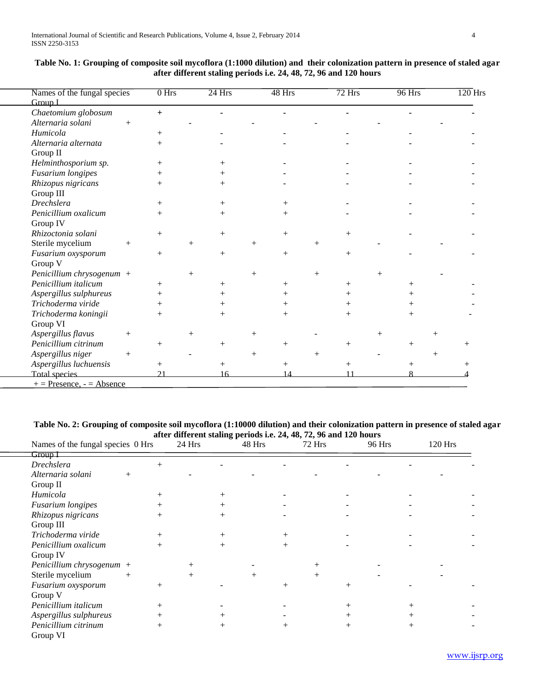| Names of the fungal species  | $0$ Hrs |        | $24$ Hrs |        | 48 Hrs             |        | $72$ Hrs |        | 96 Hrs             | $\overline{120}$ Hrs |
|------------------------------|---------|--------|----------|--------|--------------------|--------|----------|--------|--------------------|----------------------|
| Group I                      |         |        |          |        |                    |        |          |        |                    |                      |
| Chaetomium globosum          | $+$     |        |          |        |                    |        |          |        |                    |                      |
| Alternaria solani<br>$^{+}$  |         |        |          |        |                    |        |          |        |                    |                      |
| Humicola                     | $^{+}$  |        |          |        |                    |        |          |        |                    |                      |
| Alternaria alternata         | $^{+}$  |        |          |        |                    |        |          |        |                    |                      |
| Group II                     |         |        |          |        |                    |        |          |        |                    |                      |
| Helminthosporium sp.         | $^{+}$  |        | $^{+}$   |        |                    |        |          |        |                    |                      |
| <b>Fusarium</b> longipes     | $^{+}$  |        | $^{+}$   |        |                    |        |          |        |                    |                      |
| Rhizopus nigricans           |         |        | $^{+}$   |        |                    |        |          |        |                    |                      |
| Group III                    |         |        |          |        |                    |        |          |        |                    |                      |
| <b>Drechslera</b>            | $^{+}$  |        | $^{+}$   |        | $\, +$             |        |          |        |                    |                      |
| Penicillium oxalicum         | $^{+}$  |        | $^{+}$   |        | $^{+}$             |        |          |        |                    |                      |
| Group IV                     |         |        |          |        |                    |        |          |        |                    |                      |
| Rhizoctonia solani           | $+$     |        | $+$      |        | $+$                |        | $+$      |        |                    |                      |
| Sterile mycelium<br>$^{+}$   |         | $^{+}$ |          | $^{+}$ |                    | $^{+}$ |          |        |                    |                      |
| Fusarium oxysporum           | $+$     |        | $^{+}$   |        | $^{+}$             |        | $^{+}$   |        |                    |                      |
| Group V                      |         |        |          |        |                    |        |          |        |                    |                      |
| Penicillium chrysogenum +    |         | $^{+}$ |          | $^{+}$ |                    | $^{+}$ |          | $^{+}$ |                    |                      |
| Penicillium italicum         | $^{+}$  |        | $^{+}$   |        | $\hspace{0.1mm} +$ |        |          |        | $^+$               |                      |
| Aspergillus sulphureus       |         |        |          |        | $\, +$             |        |          |        |                    |                      |
| Trichoderma viride           | $^{+}$  |        | $\, +$   |        | $\hspace{0.1mm} +$ |        |          |        | $^+$               |                      |
| Trichoderma koningii         | $^{+}$  |        | $^{+}$   |        | $^{+}$             |        |          |        | $\,+\,$            |                      |
| Group VI                     |         |        |          |        |                    |        |          |        |                    |                      |
| Aspergillus flavus<br>$^{+}$ |         | $\, +$ |          | $^{+}$ |                    |        |          | $^{+}$ |                    |                      |
| Penicillium citrinum         | $^{+}$  |        | $\, +$   |        |                    |        |          |        | $\hspace{0.1mm} +$ |                      |
| Aspergillus niger<br>$+$     |         |        |          | $^{+}$ |                    | $^{+}$ |          |        |                    |                      |
| Aspergillus luchuensis       | $^{+}$  |        | $^{+}$   |        | $^{+}$             |        | $^{+}$   |        | $^{+}$             |                      |
| <b>Total species</b>         | 21      |        | 16       |        | 14                 |        | 11       |        |                    |                      |
| $+=$ Presence, $=$ Absence   |         |        |          |        |                    |        |          |        |                    |                      |

| Table No. 1: Grouping of composite soil mycoflora (1:1000 dilution) and their colonization pattern in presence of staled agar |
|-------------------------------------------------------------------------------------------------------------------------------|
| after different staling periods i.e. 24, 48, 72, 96 and 120 hours                                                             |

**Table No. 2: Grouping of composite soil mycoflora (1:10000 dilution) and their colonization pattern in presence of staled agar** 

|                                   |        |        |        |        | after different staling periods i.e. 24, 48, 72, 96 and 120 hours |      |        |        |        |      |         |  |
|-----------------------------------|--------|--------|--------|--------|-------------------------------------------------------------------|------|--------|--------|--------|------|---------|--|
| Names of the fungal species 0 Hrs |        |        | 24 Hrs |        | 48 Hrs                                                            |      | 72 Hrs |        | 96 Hrs |      | 120 Hrs |  |
| $G$ roun                          |        |        |        |        |                                                                   |      |        |        |        |      |         |  |
| <b>Drechslera</b>                 |        | $^{+}$ |        |        |                                                                   |      |        |        |        |      |         |  |
| Alternaria solani                 | $^{+}$ |        |        |        |                                                                   |      |        |        |        |      |         |  |
| Group II                          |        |        |        |        |                                                                   |      |        |        |        |      |         |  |
| Humicola                          |        |        |        | $^+$   |                                                                   |      |        |        |        |      |         |  |
| Fusarium longipes                 |        |        |        |        |                                                                   |      |        |        |        |      |         |  |
| Rhizopus nigricans                |        |        |        |        |                                                                   |      |        |        |        |      |         |  |
| Group III                         |        |        |        |        |                                                                   |      |        |        |        |      |         |  |
| Trichoderma viride                |        |        |        | $^{+}$ |                                                                   |      |        |        |        |      |         |  |
| Penicillium oxalicum              |        | $^{+}$ |        | $^{+}$ |                                                                   | $^+$ |        |        |        |      |         |  |
| Group IV                          |        |        |        |        |                                                                   |      |        |        |        |      |         |  |
| Penicillium chrysogenum $+$       |        |        | $^+$   |        |                                                                   |      |        |        |        |      |         |  |
| Sterile mycelium                  | $^{+}$ |        | $^{+}$ |        | $^{+}$                                                            |      | $^{+}$ |        |        |      |         |  |
| Fusarium oxysporum                |        | $^{+}$ |        |        |                                                                   |      |        | $^{+}$ |        |      |         |  |
| Group V                           |        |        |        |        |                                                                   |      |        |        |        |      |         |  |
| Penicillium italicum              |        |        |        |        |                                                                   |      |        | $^+$   |        |      |         |  |
| Aspergillus sulphureus            |        |        |        |        |                                                                   |      |        |        |        |      |         |  |
| Penicillium citrinum              |        |        |        | $^+$   |                                                                   |      |        | $^+$   |        | $^+$ |         |  |
| Group VI                          |        |        |        |        |                                                                   |      |        |        |        |      |         |  |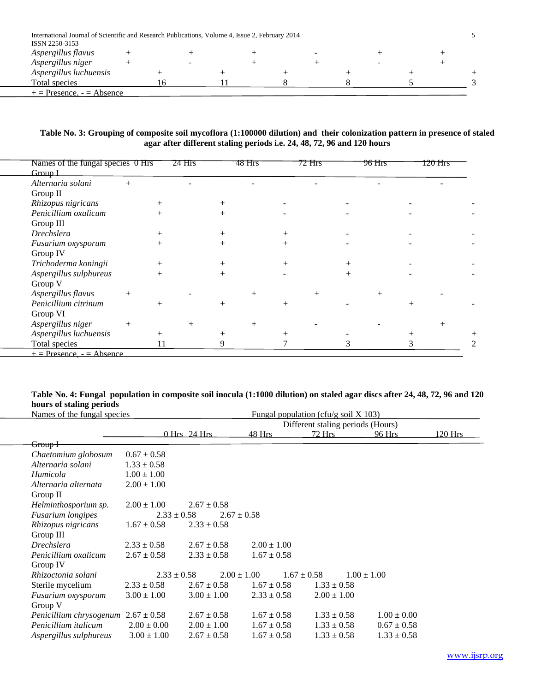| International Journal of Scientific and Research Publications, Volume 4, Issue 2, February 2014 |  |  |  |  |  |  |
|-------------------------------------------------------------------------------------------------|--|--|--|--|--|--|
| ISSN 2250-3153                                                                                  |  |  |  |  |  |  |
| Aspergillus flavus                                                                              |  |  |  |  |  |  |
| Aspergillus niger                                                                               |  |  |  |  |  |  |
| Aspergillus luchuensis                                                                          |  |  |  |  |  |  |
| Total species                                                                                   |  |  |  |  |  |  |
| $+=$ Presence, $=$ Absence                                                                      |  |  |  |  |  |  |

## **Table No. 3: Grouping of composite soil mycoflora (1:100000 dilution) and their colonization pattern in presence of staled agar after different staling periods i.e. 24, 48, 72, 96 and 120 hours**

| Names of the fungal species 0 Hrs<br>Group I |        |      | 24 Hrs | 48 Hrs | 72 Hrs | 96 Hrs | 120 Hrs |  |
|----------------------------------------------|--------|------|--------|--------|--------|--------|---------|--|
| Alternaria solani                            | $+$    |      |        |        |        |        |         |  |
| Group II                                     |        |      |        |        |        |        |         |  |
| Rhizopus nigricans                           |        |      |        |        |        |        |         |  |
| Penicillium oxalicum                         |        |      |        |        |        |        |         |  |
| Group III                                    |        |      |        |        |        |        |         |  |
| <b>Drechslera</b>                            |        |      |        |        |        |        |         |  |
| Fusarium oxysporum                           |        |      |        |        |        |        |         |  |
| Group IV                                     |        |      |        |        |        |        |         |  |
| Trichoderma koningii                         |        |      |        |        |        |        |         |  |
| Aspergillus sulphureus                       |        |      |        |        |        |        |         |  |
| Group V                                      |        |      |        |        |        |        |         |  |
| Aspergillus flavus                           | $^{+}$ |      |        |        |        |        |         |  |
| Penicillium citrinum                         |        | $^+$ |        |        |        |        |         |  |
| Group VI                                     |        |      |        |        |        |        |         |  |
| Aspergillus niger                            | $+$    |      |        |        |        |        |         |  |
| Aspergillus luchuensis                       |        |      |        |        |        |        |         |  |
| Total species                                |        |      |        |        |        |        |         |  |
| $\pm$ = Presence, $\overline{=}$ Absence     |        |      |        |        |        |        |         |  |

## **Table No. 4: Fungal population in composite soil inocula (1:1000 dilution) on staled agar discs after 24, 48, 72, 96 and 120 hours of staling periods**

| Names of the fungal species             | Fungal population (cfu/g soil $X$ 103) |                                   |                 |                 |                 |         |  |  |
|-----------------------------------------|----------------------------------------|-----------------------------------|-----------------|-----------------|-----------------|---------|--|--|
|                                         |                                        | Different staling periods (Hours) |                 |                 |                 |         |  |  |
|                                         |                                        | $0$ Hrs $24$ Hrs                  | 48 Hrs          | 72 Hrs          | 96 Hrs          | 120 Hrs |  |  |
| <del>Group I–</del>                     |                                        |                                   |                 |                 |                 |         |  |  |
| Chaetomium globosum                     | $0.67 \pm 0.58$                        |                                   |                 |                 |                 |         |  |  |
| Alternaria solani                       | $1.33 \pm 0.58$                        |                                   |                 |                 |                 |         |  |  |
| Humicola                                | $1.00 \pm 1.00$                        |                                   |                 |                 |                 |         |  |  |
| Alternaria alternata                    | $2.00 \pm 1.00$                        |                                   |                 |                 |                 |         |  |  |
| Group $II$                              |                                        |                                   |                 |                 |                 |         |  |  |
| Helminthosporium sp.                    | $2.00 \pm 1.00$                        | $2.67 \pm 0.58$                   |                 |                 |                 |         |  |  |
| <b>Fusarium</b> longipes                | $2.33 \pm 0.58$                        | $2.67 \pm 0.58$                   |                 |                 |                 |         |  |  |
| Rhizopus nigricans                      | $1.67 \pm 0.58$                        | $2.33 \pm 0.58$                   |                 |                 |                 |         |  |  |
| Group III                               |                                        |                                   |                 |                 |                 |         |  |  |
| <i>Drechslera</i>                       | $2.33 \pm 0.58$                        | $2.67 \pm 0.58$                   | $2.00 \pm 1.00$ |                 |                 |         |  |  |
| Penicillium oxalicum                    | $2.67 \pm 0.58$                        | $2.33 \pm 0.58$                   | $1.67 \pm 0.58$ |                 |                 |         |  |  |
| Group IV                                |                                        |                                   |                 |                 |                 |         |  |  |
| Rhizoctonia solani                      | $2.33 \pm 0.58$                        | $2.00 \pm 1.00$                   | $1.67 \pm 0.58$ | $1.00 \pm 1.00$ |                 |         |  |  |
| Sterile mycelium                        | $2.33 \pm 0.58$                        | $2.67 \pm 0.58$                   | $1.67 \pm 0.58$ | $1.33 \pm 0.58$ |                 |         |  |  |
| Fusarium oxysporum                      | $3.00 \pm 1.00$                        | $3.00 \pm 1.00$                   | $2.33 \pm 0.58$ | $2.00 \pm 1.00$ |                 |         |  |  |
| Group V                                 |                                        |                                   |                 |                 |                 |         |  |  |
| Penicillium chrysogenum $2.67 \pm 0.58$ |                                        | $2.67 \pm 0.58$                   | $1.67 \pm 0.58$ | $1.33 \pm 0.58$ | $1.00 \pm 0.00$ |         |  |  |
| Penicillium italicum                    | $2.00 \pm 0.00$                        | $2.00 \pm 1.00$                   | $1.67 \pm 0.58$ | $1.33 \pm 0.58$ | $0.67 \pm 0.58$ |         |  |  |
| Aspergillus sulphureus                  | $3.00 \pm 1.00$                        | $2.67 \pm 0.58$                   | $1.67 \pm 0.58$ | $1.33 \pm 0.58$ | $1.33 \pm 0.58$ |         |  |  |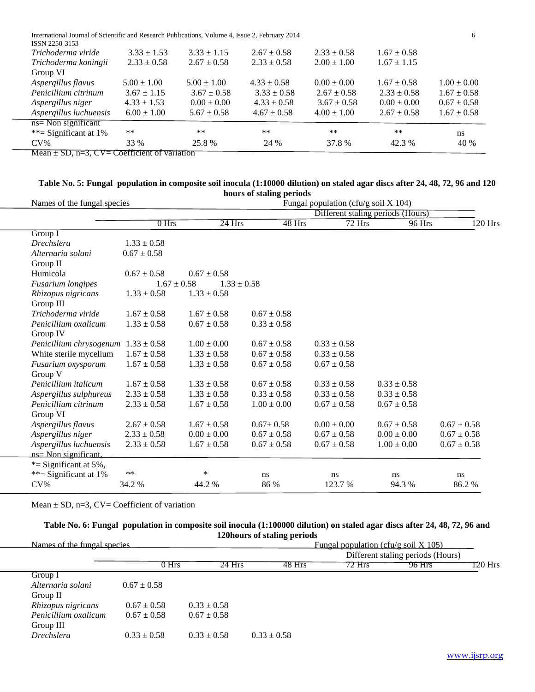| International Journal of Scientific and Research Publications, Volume 4, Issue 2, February 2014 |  |
|-------------------------------------------------------------------------------------------------|--|
|-------------------------------------------------------------------------------------------------|--|

| $Mean + SD$ $n=3$ $CV = Coefficient$ of variation |                 |                 |                 |                 |                 |                 |
|---------------------------------------------------|-----------------|-----------------|-----------------|-----------------|-----------------|-----------------|
| **= Significant at $1\%$<br>$CV\%$                | $***$<br>33 %   | $**$<br>25.8 %  | $***$<br>24 %   | $**$<br>37.8%   | **<br>42.3 %    | ns<br>40 %      |
| $ns = Non significant$                            |                 |                 |                 |                 |                 |                 |
| Aspergillus luchuensis                            | $6.00 \pm 1.00$ | $5.67 \pm 0.58$ | $4.67 \pm 0.58$ | $4.00 \pm 1.00$ | $2.67 \pm 0.58$ | $1.67 \pm 0.58$ |
| Aspergillus niger                                 | $4.33 \pm 1.53$ | $0.00 \pm 0.00$ | $4.33 \pm 0.58$ | $3.67 \pm 0.58$ | $0.00 \pm 0.00$ | $0.67 \pm 0.58$ |
| Penicillium citrinum                              | $3.67 \pm 1.15$ | $3.67 \pm 0.58$ | $3.33 \pm 0.58$ | $2.67 \pm 0.58$ | $2.33 \pm 0.58$ | $1.67 \pm 0.58$ |
| Aspergillus flavus                                | $5.00 \pm 1.00$ | $5.00 \pm 1.00$ | $4.33 \pm 0.58$ | $0.00 \pm 0.00$ | $1.67 \pm 0.58$ | $1.00 \pm 0.00$ |
| Group VI                                          |                 |                 |                 |                 |                 |                 |
| Trichoderma koningii                              | $2.33 \pm 0.58$ | $2.67 \pm 0.58$ | $2.33 \pm 0.58$ | $2.00 \pm 1.00$ | $1.67 \pm 1.15$ |                 |
| Trichoderma viride                                | $3.33 \pm 1.53$ | $3.33 \pm 1.15$ | $2.67 \pm 0.58$ | $2.33 \pm 0.58$ | $1.67 \pm 0.58$ |                 |
| ISSN 2250-3153                                    |                 |                 |                 |                 |                 |                 |

 $=3, CV= Coefficient of variation$ 

## **Table No. 5: Fungal population in composite soil inocula (1:10000 dilution) on staled agar discs after 24, 48, 72, 96 and 120 hours of staling periods**

| Names of the fungal species | Fungal population (cfu/g soil $X$ 104) |                 |                 |                 |                                   |                 |
|-----------------------------|----------------------------------------|-----------------|-----------------|-----------------|-----------------------------------|-----------------|
|                             |                                        |                 |                 |                 | Different staling periods (Hours) |                 |
|                             | $0$ Hrs                                | $24$ Hrs        | 48 Hrs          | 72 Hrs          | 96 Hrs                            | 120 Hrs         |
| Group I                     |                                        |                 |                 |                 |                                   |                 |
| <b>Drechslera</b>           | $1.33 \pm 0.58$                        |                 |                 |                 |                                   |                 |
| Alternaria solani           | $0.67 \pm 0.58$                        |                 |                 |                 |                                   |                 |
| Group II                    |                                        |                 |                 |                 |                                   |                 |
| Humicola                    | $0.67 \pm 0.58$                        | $0.67 \pm 0.58$ |                 |                 |                                   |                 |
| <b>Fusarium</b> longipes    | $1.67 \pm 0.58$                        | $1.33 \pm 0.58$ |                 |                 |                                   |                 |
| Rhizopus nigricans          | $1.33 \pm 0.58$                        | $1.33 \pm 0.58$ |                 |                 |                                   |                 |
| Group III                   |                                        |                 |                 |                 |                                   |                 |
| Trichoderma viride          | $1.67 \pm 0.58$                        | $1.67 \pm 0.58$ | $0.67 \pm 0.58$ |                 |                                   |                 |
| Penicillium oxalicum        | $1.33 \pm 0.58$                        | $0.67 \pm 0.58$ | $0.33 \pm 0.58$ |                 |                                   |                 |
| Group IV                    |                                        |                 |                 |                 |                                   |                 |
| Penicillium chrysogenum     | $1.33 \pm 0.58$                        | $1.00 \pm 0.00$ | $0.67 \pm 0.58$ | $0.33 \pm 0.58$ |                                   |                 |
| White sterile mycelium      | $1.67 \pm 0.58$                        | $1.33 \pm 0.58$ | $0.67 \pm 0.58$ | $0.33 \pm 0.58$ |                                   |                 |
| Fusarium oxysporum          | $1.67 \pm 0.58$                        | $1.33 \pm 0.58$ | $0.67 \pm 0.58$ | $0.67 \pm 0.58$ |                                   |                 |
| Group V                     |                                        |                 |                 |                 |                                   |                 |
| Penicillium italicum        | $1.67 \pm 0.58$                        | $1.33 \pm 0.58$ | $0.67 \pm 0.58$ | $0.33 \pm 0.58$ | $0.33 \pm 0.58$                   |                 |
| Aspergillus sulphureus      | $2.33 \pm 0.58$                        | $1.33 \pm 0.58$ | $0.33 \pm 0.58$ | $0.33 \pm 0.58$ | $0.33 \pm 0.58$                   |                 |
| Penicillium citrinum        | $2.33 \pm 0.58$                        | $1.67 \pm 0.58$ | $1.00 \pm 0.00$ | $0.67 \pm 0.58$ | $0.67 \pm 0.58$                   |                 |
| Group VI                    |                                        |                 |                 |                 |                                   |                 |
| Aspergillus flavus          | $2.67 \pm 0.58$                        | $1.67 \pm 0.58$ | $0.67 \pm 0.58$ | $0.00 \pm 0.00$ | $0.67 \pm 0.58$                   | $0.67 \pm 0.58$ |
| Aspergillus niger           | $2.33 \pm 0.58$                        | $0.00 \pm 0.00$ | $0.67 \pm 0.58$ | $0.67 \pm 0.58$ | $0.00 \pm 0.00$                   | $0.67 \pm 0.58$ |
| Aspergillus luchuensis      | $2.33 \pm 0.58$                        | $1.67 \pm 0.58$ | $0.67 \pm 0.58$ | $0.67 \pm 0.58$ | $1.00 \pm 0.00$                   | $0.67 \pm 0.58$ |
| ns= Non significant,        |                                        |                 |                 |                 |                                   |                 |
| *= Significant at $5\%$ ,   |                                        |                 |                 |                 |                                   |                 |
| **= Significant at $1\%$    | $***$                                  | $\ast$          | ns              | ns              | ns                                | ns              |
| $CV\%$                      | 34.2 %                                 | 44.2 %          | 86 %            | 123.7 %         | 94.3 %                            | 86.2%           |
|                             |                                        |                 |                 |                 |                                   |                 |

Mean  $\pm$  SD, n=3, CV= Coefficient of variation

## **Table No. 6: Fungal population in composite soil inocula (1:100000 dilution) on staled agar discs after 24, 48, 72, 96 and 120hours of staling periods**

| Names of the fungal species |                 |                 |                 | Fungal population (cfu/g soil $X$ 105) |                                   |         |
|-----------------------------|-----------------|-----------------|-----------------|----------------------------------------|-----------------------------------|---------|
|                             |                 |                 |                 |                                        | Different staling periods (Hours) |         |
|                             | 0 Hrs           | 24 Hrs          | 48 Hrs          | 72 Hrs                                 | 96 Hrs                            | T20 Hrs |
| Group I                     |                 |                 |                 |                                        |                                   |         |
| Alternaria solani           | $0.67 \pm 0.58$ |                 |                 |                                        |                                   |         |
| Group II                    |                 |                 |                 |                                        |                                   |         |
| Rhizopus nigricans          | $0.67 \pm 0.58$ | $0.33 \pm 0.58$ |                 |                                        |                                   |         |
| Penicillium oxalicum        | $0.67 \pm 0.58$ | $0.67 \pm 0.58$ |                 |                                        |                                   |         |
| Group III                   |                 |                 |                 |                                        |                                   |         |
| <i>Drechslera</i>           | $0.33 \pm 0.58$ | $0.33 \pm 0.58$ | $0.33 \pm 0.58$ |                                        |                                   |         |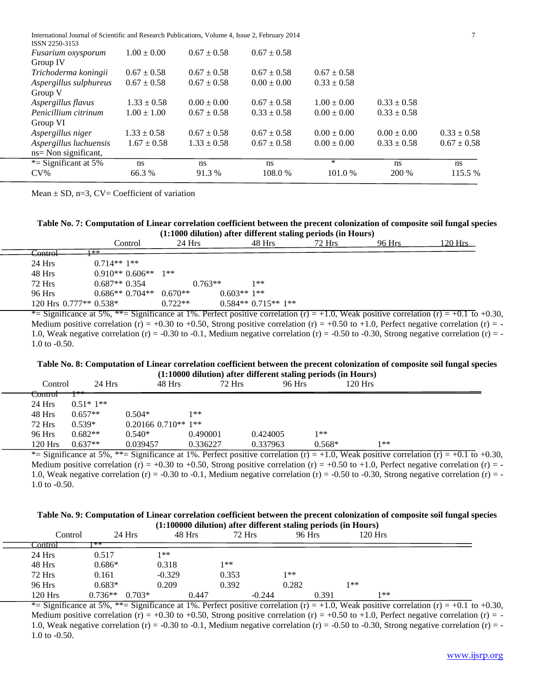| International Journal of Scientific and Research Publications, Volume 4, Issue 2, February 2014 |  |
|-------------------------------------------------------------------------------------------------|--|
|-------------------------------------------------------------------------------------------------|--|

| ISSN 2250-3153            |                 |                 |                 |                 |                 |                 |
|---------------------------|-----------------|-----------------|-----------------|-----------------|-----------------|-----------------|
| <i>Fusarium oxysporum</i> | $1.00 \pm 0.00$ | $0.67 \pm 0.58$ | $0.67 \pm 0.58$ |                 |                 |                 |
| Group IV                  |                 |                 |                 |                 |                 |                 |
| Trichoderma koningii      | $0.67 \pm 0.58$ | $0.67 \pm 0.58$ | $0.67 \pm 0.58$ | $0.67 \pm 0.58$ |                 |                 |
| Aspergillus sulphureus    | $0.67 \pm 0.58$ | $0.67 \pm 0.58$ | $0.00 \pm 0.00$ | $0.33 \pm 0.58$ |                 |                 |
| Group V                   |                 |                 |                 |                 |                 |                 |
| Aspergillus flavus        | $1.33 \pm 0.58$ | $0.00 \pm 0.00$ | $0.67 \pm 0.58$ | $1.00 \pm 0.00$ | $0.33 \pm 0.58$ |                 |
| Penicillium citrinum      | $1.00 \pm 1.00$ | $0.67 \pm 0.58$ | $0.33 \pm 0.58$ | $0.00 \pm 0.00$ | $0.33 \pm 0.58$ |                 |
| Group VI                  |                 |                 |                 |                 |                 |                 |
| Aspergillus niger         | $1.33 \pm 0.58$ | $0.67 \pm 0.58$ | $0.67 \pm 0.58$ | $0.00 \pm 0.00$ | $0.00 \pm 0.00$ | $0.33 \pm 0.58$ |
| Aspergillus luchuensis    | $1.67 \pm 0.58$ | $1.33 \pm 0.58$ | $0.67 \pm 0.58$ | $0.00 \pm 0.00$ | $0.33 \pm 0.58$ | $0.67 \pm 0.58$ |
| ns= Non significant,      |                 |                 |                 |                 |                 |                 |
| *= Significant at $5\%$   | ns              | <sub>ns</sub>   | ns              | $\ast$          | <sub>ns</sub>   | ns              |
| $CV\%$                    | 66.3 %          | 91.3 %          | 108.0 %         | 101.0%          | 200 %           | 115.5 %         |
|                           |                 |                 |                 |                 |                 |                 |

Mean  $\pm$  SD, n=3, CV= Coefficient of variation

## **Table No. 7: Computation of Linear correlation coefficient between the precent colonization of composite soil fungal species (1:1000 dilution) after different staling periods (in Hours)**

|                         |                                                                                    |           |              |                     | . .    |        |                                                         |  |
|-------------------------|------------------------------------------------------------------------------------|-----------|--------------|---------------------|--------|--------|---------------------------------------------------------|--|
|                         | Control                                                                            | $24$ Hrs  |              | 48 Hrs              | 72 Hrs | 96 Hrs | 120 Hrs                                                 |  |
| <del>Control</del>      | <b>**</b>                                                                          |           |              |                     |        |        |                                                         |  |
| 24 Hrs                  | $0.714**1**$                                                                       |           |              |                     |        |        |                                                         |  |
| 48 Hrs                  | $0.910**0.606**$                                                                   | 1**       |              |                     |        |        |                                                         |  |
| 72 Hrs                  | $0.687**0.354$                                                                     | $0.763**$ |              | 1**                 |        |        |                                                         |  |
| 96 Hrs                  | $0.686**0.704**$                                                                   | $0.670**$ | $0.603**1**$ |                     |        |        |                                                         |  |
| 120 Hrs $0.777**0.538*$ |                                                                                    | $0.722**$ |              | $0.584**0.715**1**$ |        |        |                                                         |  |
|                         | $*$ Significance at 5% $*$ Significance at 1% Perfect positive correlation $(r)$ – |           |              |                     | $+1$   |        | $1.0$ Weak positive correlation $(r) = +0.1$ to $+0.30$ |  |

Significance at 5%,  $*=\text{Significance at } 1\%$ . Perfect positive correlation (r) = +1.0, Weak positive correlation (r) = +0.1 to +0.30, Medium positive correlation (r) = +0.30 to +0.50, Strong positive correlation (r) = +0.50 to +1.0, Perfect negative correlation (r) = -1.0, Weak negative correlation (r) = -0.30 to -0.1, Medium negative correlation (r) = -0.50 to -0.30, Strong negative correlation (r) = -1.0 to -0.50.

# **Table No. 8: Computation of Linear correlation coefficient between the precent colonization of composite soil fungal species**

|                                    |              |                         |          |          | $(1:10000$ dilution) after different staling periods (in Hours) |         |               |   |               |  |
|------------------------------------|--------------|-------------------------|----------|----------|-----------------------------------------------------------------|---------|---------------|---|---------------|--|
| Control                            | 24 Hrs       | 48 Hrs                  | 72 Hrs   |          | 96 Hrs                                                          | 120 Hrs |               |   |               |  |
| CONITOI                            | سام ماه بالا |                         |          |          |                                                                 |         |               |   |               |  |
| 24 Hrs                             | $0.51*1**$   |                         |          |          |                                                                 |         |               |   |               |  |
| 48 Hrs                             | $0.657**$    | $0.504*$                | 1**      |          |                                                                 |         |               |   |               |  |
| <b>72 Hrs</b>                      | $0.539*$     | $0.20166$ $0.710**$ 1** |          |          |                                                                 |         |               |   |               |  |
| 96 Hrs                             | $0.682**$    | $0.540*$                | 0.490001 | 0.424005 | 1**                                                             |         |               |   |               |  |
| $120$ Hrs                          | $0.637**$    | 0.039457                | 0.336227 | 0.337963 | $0.568*$                                                        | 1**     |               |   |               |  |
| $\sim$ $\sim$ $\sim$ $\sim$ $\sim$ |              |                         | .        | . .      | .                                                               | . .     | $\sim$ $\sim$ | . | $\sim$ $\sim$ |  |

\*= Significance at 5%, \*\*= Significance at 1%. Perfect positive correlation  $(r) = +1.0$ , Weak positive correlation  $(r) = +0.1$  to  $+0.30$ , Medium positive correlation (r) = +0.30 to +0.50, Strong positive correlation (r) = +0.50 to +1.0, Perfect negative correlation (r) = -1.0, Weak negative correlation (r) = -0.30 to -0.1, Medium negative correlation (r) = -0.50 to -0.30, Strong negative correlation (r) = -1.0 to -0.50.

#### **Table No. 9: Computation of Linear correlation coefficient between the precent colonization of composite soil fungal species (1:100000 dilution) after different staling periods (in Hours)**

| Control   | $24$ Hrs  | 48 Hrs   | 72 Hrs |          | 96 Hrs | 120 Hrs |  |
|-----------|-----------|----------|--------|----------|--------|---------|--|
| .`ontrol  | **        |          |        |          |        |         |  |
| 24 Hrs    | 0.517     | 1**      |        |          |        |         |  |
| 48 Hrs    | $0.686*$  | 0.318    | 1**    |          |        |         |  |
| 72 Hrs    | 0.161     | $-0.329$ | 0.353  | $1**$    |        |         |  |
| 96 Hrs    | $0.683*$  | 0.209    | 0.392  | 0.282    |        | 1**     |  |
| $120$ Hrs | $0.736**$ | $0.703*$ | 0.447  | $-0.244$ | 0.391  | 1**     |  |

\*= Significance at 5%, \*\*= Significance at 1%. Perfect positive correlation  $(r) = +1.0$ , Weak positive correlation  $(r) = +0.1$  to  $+0.30$ , Medium positive correlation (r) = +0.30 to +0.50, Strong positive correlation (r) = +0.50 to +1.0, Perfect negative correlation (r) = -1.0, Weak negative correlation (r) = -0.30 to -0.1, Medium negative correlation (r) = -0.50 to -0.30, Strong negative correlation (r) = -1.0 to -0.50.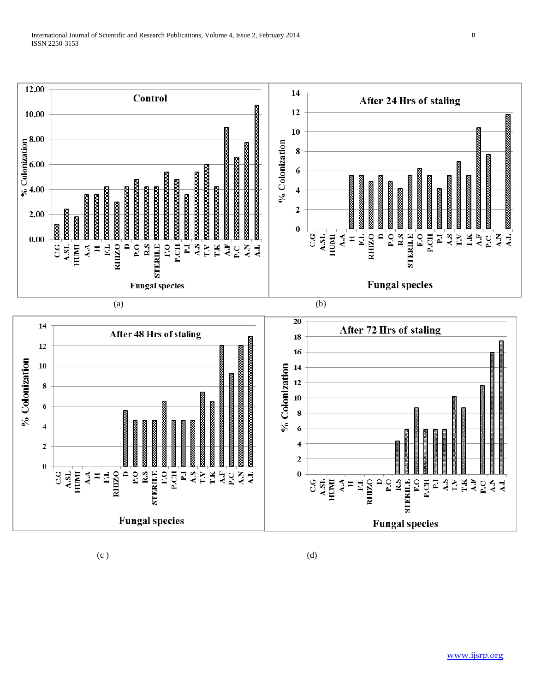

 $(c)$  (c)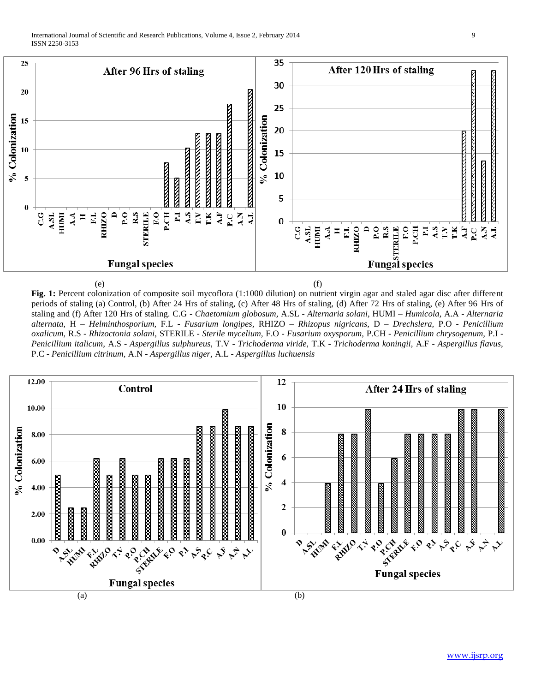

**Fig. 1:** Percent colonization of composite soil mycoflora (1:1000 dilution) on nutrient virgin agar and staled agar disc after different periods of staling (a) Control, (b) After 24 Hrs of staling, (c) After 48 Hrs of staling, (d) After 72 Hrs of staling, (e) After 96 Hrs of staling and (f) After 120 Hrs of staling. C.G - *Chaetomium globosum,* A.SL - *Alternaria solani,* HUMI – *Humicola,* A.A - *Alternaria alternata,* H – *Helminthosporium,* F.L - *Fusarium longipes,* RHIZO – *Rhizopus nigricans,* D – *Drechslera,* P.O - *Penicillium oxalicum,* R.S - *Rhizoctonia solani,* STERILE - *Sterile mycelium,* F.O - *Fusarium oxysporum,* P.CH - *Penicillium chrysogenum,* P.I - *Penicillium italicum,* A.S - *Aspergillus sulphureus,* T.V - *Trichoderma viride,* T.K - *Trichoderma koningii,* A.F - *Aspergillus flavus,*  P.C - *Penicillium citrinum,* A.N - *Aspergillus niger,* A.L - *Aspergillus luchuensis*

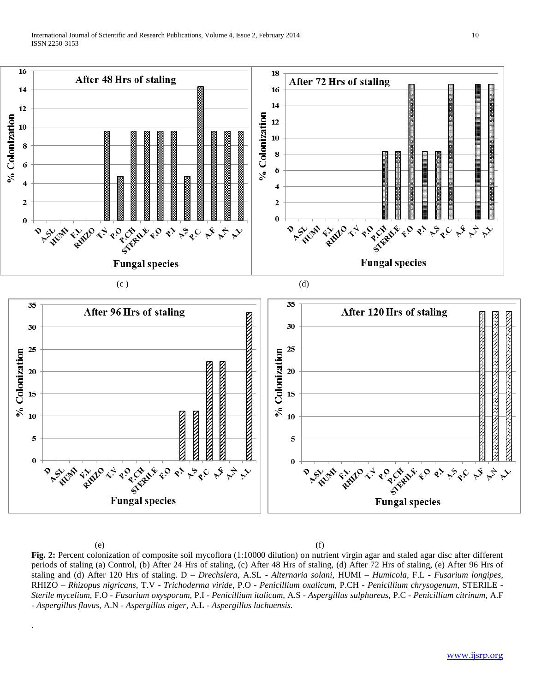

.

 $(e)$  (f) **Fig. 2:** Percent colonization of composite soil mycoflora (1:10000 dilution) on nutrient virgin agar and staled agar disc after different periods of staling (a) Control, (b) After 24 Hrs of staling, (c) After 48 Hrs of staling, (d) After 72 Hrs of staling, (e) After 96 Hrs of staling and (d) After 120 Hrs of staling. D – *Drechslera,* A.SL - *Alternaria solani,* HUMI – *Humicola,* F.L - *Fusarium longipes,*  RHIZO – *Rhizopus nigricans,* T.V - *Trichoderma viride,* P.O - *Penicillium oxalicum,* P.CH - *Penicillium chrysogenum,* STERILE - *Sterile mycelium,* F.O - *Fusarium oxysporum,* P.I - *Penicillium italicum,* A.S - *Aspergillus sulphureus,* P.C - *Penicillium citrinum,* A.F - *Aspergillus flavus,* A.N - *Aspergillus niger,* A.L - *Aspergillus luchuensis.*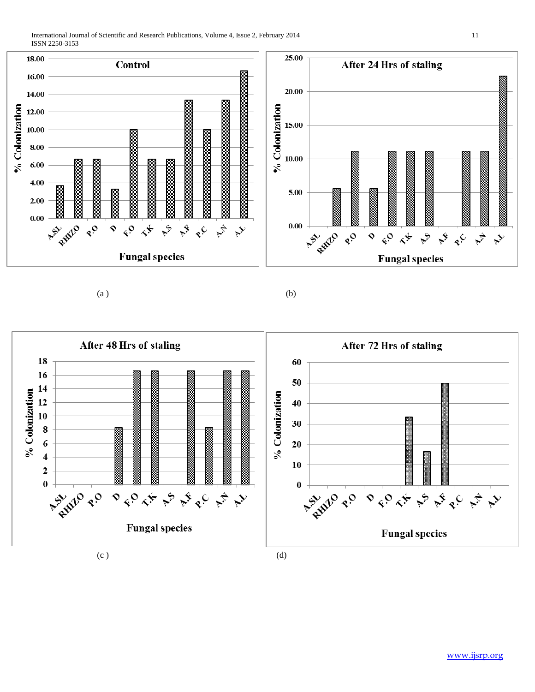International Journal of Scientific and Research Publications, Volume 4, Issue 2, February 2014 11 ISSN 2250-3153



 $(a)$  (b)